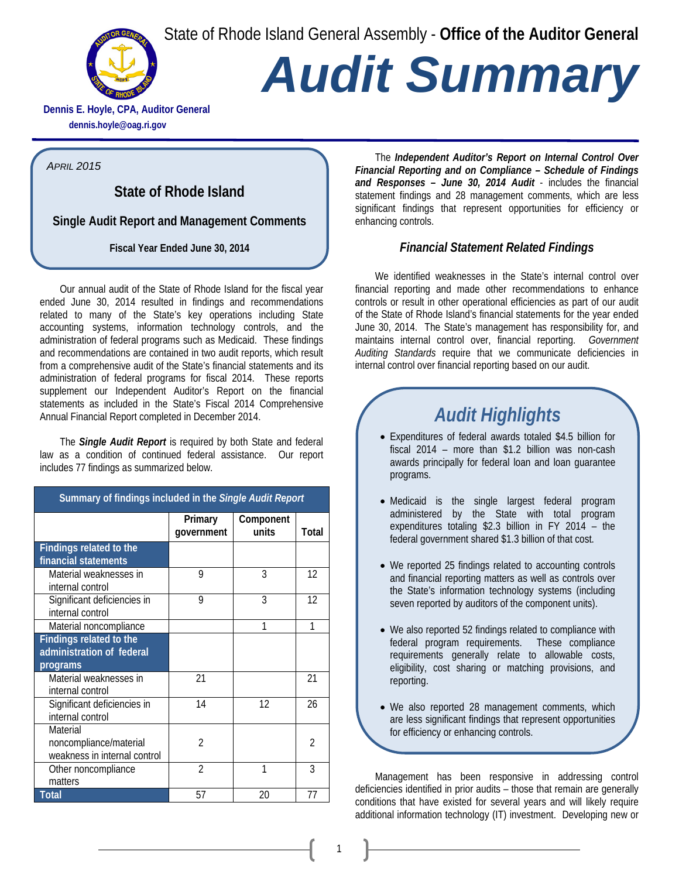State of Rhode Island General Assembly - **Office of the Auditor General**



# *Audit Summary*

**Dennis E. Hoyle, CPA, Auditor General dennis.hoyle@oag.ri.gov**

*APRIL 2015*

**State of Rhode Island** 

**Single Audit Report and Management Comments**

**Fiscal Year Ended June 30, 2014**

Our annual audit of the State of Rhode Island for the fiscal year ended June 30, 2014 resulted in findings and recommendations related to many of the State's key operations including State accounting systems, information technology controls, and the administration of federal programs such as Medicaid. These findings and recommendations are contained in two audit reports, which result from a comprehensive audit of the State's financial statements and its administration of federal programs for fiscal 2014. These reports supplement our Independent Auditor's Report on the financial statements as included in the State's Fiscal 2014 Comprehensive Annual Financial Report completed in December 2014.

The *Single Audit Report* is required by both State and federal law as a condition of continued federal assistance. Our report includes 77 findings as summarized below.

| Summary of findings included in the Single Audit Report            |                       |                    |                |
|--------------------------------------------------------------------|-----------------------|--------------------|----------------|
|                                                                    | Primary<br>government | Component<br>units | Total          |
| <b>Findings related to the</b><br>financial statements             |                       |                    |                |
| Material weaknesses in<br>internal control                         | 9                     | 3                  | 12             |
| Significant deficiencies in<br>internal control                    | 9                     | 3                  | 12             |
| Material noncompliance                                             |                       | 1                  | 1              |
| Findings related to the<br>administration of federal<br>programs   |                       |                    |                |
| Material weaknesses in<br>internal control                         | 21                    |                    | 21             |
| Significant deficiencies in<br>internal control                    | 14                    | 12                 | 26             |
| Material<br>noncompliance/material<br>weakness in internal control | $\mathfrak{D}$        |                    | $\mathfrak{D}$ |
| Other noncompliance<br>matters                                     | $\mathfrak{D}$        | 1                  | 3              |
| Total                                                              | 57                    | 20                 | 77             |

The *Independent Auditor's Report on Internal Control Over Financial Reporting and on Compliance – Schedule of Findings and Responses – June 30, 2014 Audit* - includes the financial statement findings and 28 management comments, which are less significant findings that represent opportunities for efficiency or enhancing controls.

#### *Financial Statement Related Findings*

We identified weaknesses in the State's internal control over financial reporting and made other recommendations to enhance controls or result in other operational efficiencies as part of our audit of the State of Rhode Island's financial statements for the year ended June 30, 2014. The State's management has responsibility for, and maintains internal control over, financial reporting. *Government Auditing Standards* require that we communicate deficiencies in internal control over financial reporting based on our audit.

## *Audit Highlights*

- Expenditures of federal awards totaled \$4.5 billion for fiscal 2014 – more than \$1.2 billion was non-cash awards principally for federal loan and loan guarantee programs.
- Medicaid is the single largest federal program administered by the State with total program expenditures totaling \$2.3 billion in FY 2014 – the federal government shared \$1.3 billion of that cost.
- We reported 25 findings related to accounting controls and financial reporting matters as well as controls over the State's information technology systems (including seven reported by auditors of the component units).
- We also reported 52 findings related to compliance with federal program requirements. These compliance requirements generally relate to allowable costs, eligibility, cost sharing or matching provisions, and reporting.
- We also reported 28 management comments, which are less significant findings that represent opportunities for efficiency or enhancing controls.

Management has been responsive in addressing control deficiencies identified in prior audits – those that remain are generally conditions that have existed for several years and will likely require additional information technology (IT) investment. Developing new or

1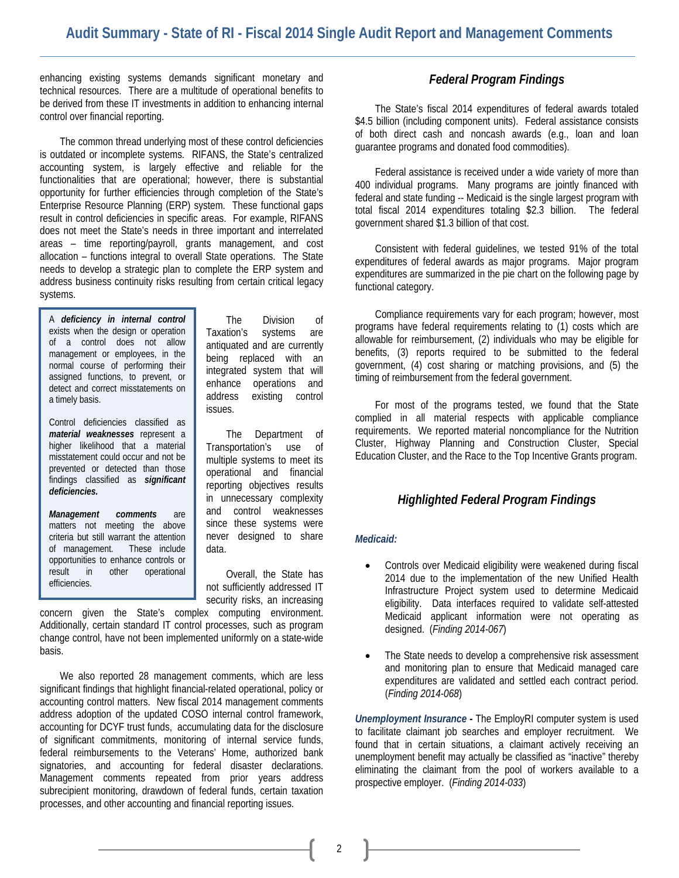enhancing existing systems demands significant monetary and technical resources. There are a multitude of operational benefits to be derived from these IT investments in addition to enhancing internal control over financial reporting.

The common thread underlying most of these control deficiencies is outdated or incomplete systems. RIFANS, the State's centralized accounting system, is largely effective and reliable for the functionalities that are operational; however, there is substantial opportunity for further efficiencies through completion of the State's Enterprise Resource Planning (ERP) system. These functional gaps result in control deficiencies in specific areas. For example, RIFANS does not meet the State's needs in three important and interrelated areas – time reporting/payroll, grants management, and cost allocation – functions integral to overall State operations. The State needs to develop a strategic plan to complete the ERP system and address business continuity risks resulting from certain critical legacy systems.

A *deficiency in internal control* exists when the design or operation of a control does not allow management or employees, in the normal course of performing their assigned functions, to prevent, or detect and correct misstatements on a timely basis.

Control deficiencies classified as *material weaknesses* represent a higher likelihood that a material misstatement could occur and not be prevented or detected than those findings classified as *significant deficiencies.*

*Management comments* are matters not meeting the above criteria but still warrant the attention of management. These include opportunities to enhance controls or result in other operational efficiencies.

The Division of Taxation's systems are antiquated and are currently being replaced with an integrated system that will enhance operations and address existing control issues.

The Department of Transportation's use of multiple systems to meet its operational and financial reporting objectives results in unnecessary complexity and control weaknesses since these systems were never designed to share data.

Overall, the State has not sufficiently addressed IT security risks, an increasing

concern given the State's complex computing environment. Additionally, certain standard IT control processes, such as program change control, have not been implemented uniformly on a state-wide basis.

We also reported 28 management comments, which are less significant findings that highlight financial-related operational, policy or accounting control matters. New fiscal 2014 management comments address adoption of the updated COSO internal control framework, accounting for DCYF trust funds, accumulating data for the disclosure of significant commitments, monitoring of internal service funds, federal reimbursements to the Veterans' Home, authorized bank signatories, and accounting for federal disaster declarations. Management comments repeated from prior years address subrecipient monitoring, drawdown of federal funds, certain taxation processes, and other accounting and financial reporting issues.

#### *Federal Program Findings*

The State's fiscal 2014 expenditures of federal awards totaled \$4.5 billion (including component units). Federal assistance consists of both direct cash and noncash awards (e.g., loan and loan guarantee programs and donated food commodities).

Federal assistance is received under a wide variety of more than 400 individual programs. Many programs are jointly financed with federal and state funding -- Medicaid is the single largest program with total fiscal 2014 expenditures totaling \$2.3 billion. The federal government shared \$1.3 billion of that cost.

Consistent with federal guidelines, we tested 91% of the total expenditures of federal awards as major programs. Major program expenditures are summarized in the pie chart on the following page by functional category.

Compliance requirements vary for each program; however, most programs have federal requirements relating to (1) costs which are allowable for reimbursement, (2) individuals who may be eligible for benefits, (3) reports required to be submitted to the federal government, (4) cost sharing or matching provisions, and (5) the timing of reimbursement from the federal government.

For most of the programs tested, we found that the State complied in all material respects with applicable compliance requirements. We reported material noncompliance for the Nutrition Cluster, Highway Planning and Construction Cluster, Special Education Cluster, and the Race to the Top Incentive Grants program.

#### *Highlighted Federal Program Findings*

#### *Medicaid:*

- Controls over Medicaid eligibility were weakened during fiscal 2014 due to the implementation of the new Unified Health Infrastructure Project system used to determine Medicaid eligibility. Data interfaces required to validate self-attested Medicaid applicant information were not operating as designed. (*Finding 2014-067*)
- The State needs to develop a comprehensive risk assessment and monitoring plan to ensure that Medicaid managed care expenditures are validated and settled each contract period. (*Finding 2014-068*)

*Unemployment Insurance -* The EmployRI computer system is used to facilitate claimant job searches and employer recruitment. We found that in certain situations, a claimant actively receiving an unemployment benefit may actually be classified as "inactive" thereby eliminating the claimant from the pool of workers available to a prospective employer. (*Finding 2014-033*)